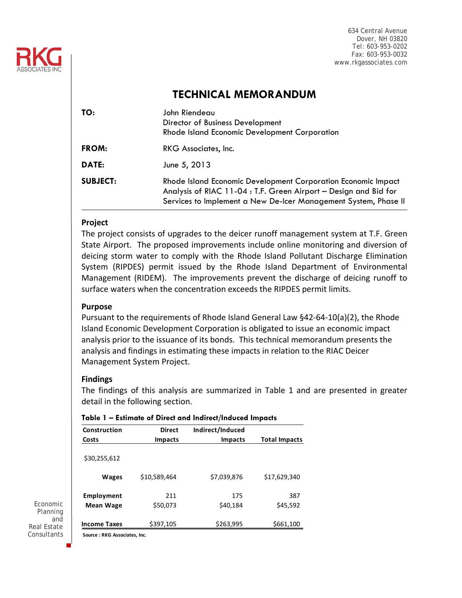

# **TECHNICAL MEMORANDUM**

| TO:             | John Riendeau<br>Director of Business Development<br>Rhode Island Economic Development Corporation                                                                                                   |  |
|-----------------|------------------------------------------------------------------------------------------------------------------------------------------------------------------------------------------------------|--|
| FROM:           | RKG Associates, Inc.                                                                                                                                                                                 |  |
| <b>DATE:</b>    | June 5, 2013                                                                                                                                                                                         |  |
| <b>SUBJECT:</b> | Rhode Island Economic Development Corporation Economic Impact<br>Analysis of RIAC 11-04 : T.F. Green Airport - Design and Bid for<br>Services to Implement a New De-Icer Management System, Phase II |  |

## **Project**

The project consists of upgrades to the deicer runoff management system at T.F. Green State Airport. The proposed improvements include online monitoring and diversion of deicing storm water to comply with the Rhode Island Pollutant Discharge Elimination System (RIPDES) permit issued by the Rhode Island Department of Environmental Management (RIDEM). The improvements prevent the discharge of deicing runoff to surface waters when the concentration exceeds the RIPDES permit limits.

### **Purpose**

Pursuant to the requirements of Rhode Island General Law §42‐64‐10(a)(2), the Rhode Island Economic Development Corporation is obligated to issue an economic impact analysis prior to the issuance of its bonds. This technical memorandum presents the analysis and findings in estimating these impacts in relation to the RIAC Deicer Management System Project.

### **Findings**

The findings of this analysis are summarized in Table 1 and are presented in greater detail in the following section.

|  |  | Table 1 - Estimate of Direct and Indirect/Induced Impacts |
|--|--|-----------------------------------------------------------|
|--|--|-----------------------------------------------------------|

| Construction        | <b>Direct</b>  | Indirect/Induced |                      |
|---------------------|----------------|------------------|----------------------|
| Costs               | <b>Impacts</b> | <b>Impacts</b>   | <b>Total Impacts</b> |
| \$30,255,612        |                |                  |                      |
| <b>Wages</b>        | \$10,589,464   | \$7,039,876      | \$17,629,340         |
| Employment          | 211            | 175              | 387                  |
| <b>Mean Wage</b>    | \$50,073       | \$40,184         | \$45,592             |
| <b>Income Taxes</b> | \$397,105      | \$263,995        | \$661,100            |

Economic Planning and Real Estate **Consultants** 

**Source : RKG Associates, Inc.**